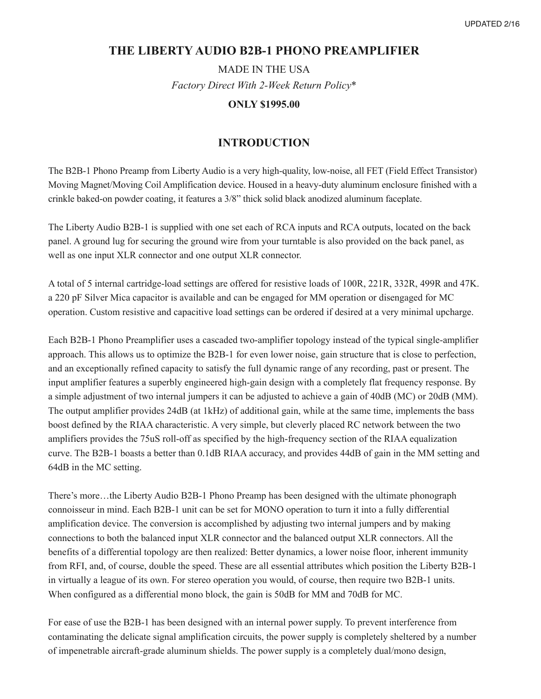### **THE LIBERTY AUDIO B2B-1 PHONO PREAMPLIFIER**

MADE IN THE USA *Factory Direct With 2-Week Return Policy\**

#### **ONLY \$1995.00**

#### **INTRODUCTION**

The B2B-1 Phono Preamp from Liberty Audio is a very high-quality, low-noise, all FET (Field Effect Transistor) Moving Magnet/Moving Coil Amplification device. Housed in a heavy-duty aluminum enclosure finished with a crinkle baked-on powder coating, it features a 3/8" thick solid black anodized aluminum faceplate.

The Liberty Audio B2B-1 is supplied with one set each of RCA inputs and RCA outputs, located on the back panel. A ground lug for securing the ground wire from your turntable is also provided on the back panel, as well as one input XLR connector and one output XLR connector.

A total of 5 internal cartridge-load settings are offered for resistive loads of 100R, 221R, 332R, 499R and 47K. a 220 pF Silver Mica capacitor is available and can be engaged for MM operation or disengaged for MC operation. Custom resistive and capacitive load settings can be ordered if desired at a very minimal upcharge.

Each B2B-1 Phono Preamplifier uses a cascaded two-amplifier topology instead of the typical single-amplifier approach. This allows us to optimize the B2B-1 for even lower noise, gain structure that is close to perfection, and an exceptionally refined capacity to satisfy the full dynamic range of any recording, past or present. The input amplifier features a superbly engineered high-gain design with a completely flat frequency response. By a simple adjustment of two internal jumpers it can be adjusted to achieve a gain of 40dB (MC) or 20dB (MM). The output amplifier provides 24dB (at 1kHz) of additional gain, while at the same time, implements the bass boost defined by the RIAA characteristic. A very simple, but cleverly placed RC network between the two amplifiers provides the 75uS roll-off as specified by the high-frequency section of the RIAA equalization curve. The B2B-1 boasts a better than 0.1dB RIAA accuracy, and provides 44dB of gain in the MM setting and 64dB in the MC setting.

There's more…the Liberty Audio B2B-1 Phono Preamp has been designed with the ultimate phonograph connoisseur in mind. Each B2B-1 unit can be set for MONO operation to turn it into a fully differential amplification device. The conversion is accomplished by adjusting two internal jumpers and by making connections to both the balanced input XLR connector and the balanced output XLR connectors. All the benefits of a differential topology are then realized: Better dynamics, a lower noise floor, inherent immunity from RFI, and, of course, double the speed. These are all essential attributes which position the Liberty B2B-1 in virtually a league of its own. For stereo operation you would, of course, then require two B2B-1 units. When configured as a differential mono block, the gain is 50dB for MM and 70dB for MC.

For ease of use the B2B-1 has been designed with an internal power supply. To prevent interference from contaminating the delicate signal amplification circuits, the power supply is completely sheltered by a number of impenetrable aircraft-grade aluminum shields. The power supply is a completely dual/mono design,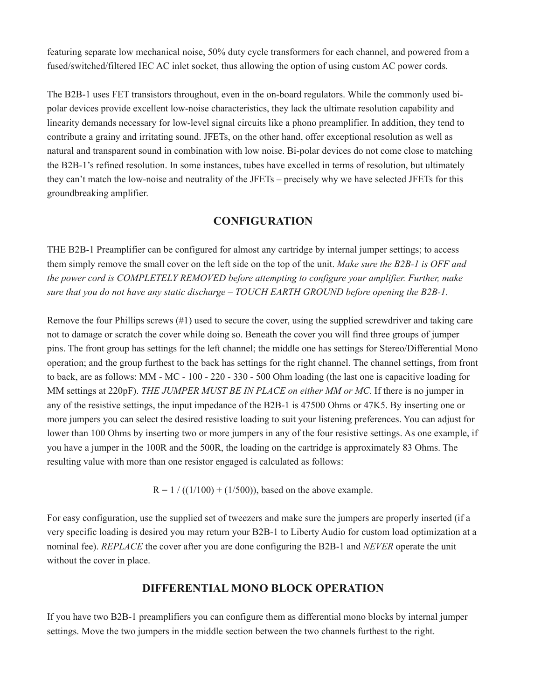featuring separate low mechanical noise, 50% duty cycle transformers for each channel, and powered from a fused/switched/filtered IEC AC inlet socket, thus allowing the option of using custom AC power cords.

The B2B-1 uses FET transistors throughout, even in the on-board regulators. While the commonly used bipolar devices provide excellent low-noise characteristics, they lack the ultimate resolution capability and linearity demands necessary for low-level signal circuits like a phono preamplifier. In addition, they tend to contribute a grainy and irritating sound. JFETs, on the other hand, offer exceptional resolution as well as natural and transparent sound in combination with low noise. Bi-polar devices do not come close to matching the B2B-1's refined resolution. In some instances, tubes have excelled in terms of resolution, but ultimately they can't match the low-noise and neutrality of the JFETs – precisely why we have selected JFETs for this groundbreaking amplifier.

#### **CONFIGURATION**

THE B2B-1 Preamplifier can be configured for almost any cartridge by internal jumper settings; to access them simply remove the small cover on the left side on the top of the unit. *Make sure the B2B-1 is OFF and the power cord is COMPLETELY REMOVED before attempting to configure your amplifier. Further, make sure that you do not have any static discharge – TOUCH EARTH GROUND before opening the B2B-1.*

Remove the four Phillips screws (#1) used to secure the cover, using the supplied screwdriver and taking care not to damage or scratch the cover while doing so. Beneath the cover you will find three groups of jumper pins. The front group has settings for the left channel; the middle one has settings for Stereo/Differential Mono operation; and the group furthest to the back has settings for the right channel. The channel settings, from front to back, are as follows: MM - MC - 100 - 220 - 330 - 500 Ohm loading (the last one is capacitive loading for MM settings at 220pF). *THE JUMPER MUST BE IN PLACE on either MM or MC.* If there is no jumper in any of the resistive settings, the input impedance of the B2B-1 is 47500 Ohms or 47K5. By inserting one or more jumpers you can select the desired resistive loading to suit your listening preferences. You can adjust for lower than 100 Ohms by inserting two or more jumpers in any of the four resistive settings. As one example, if you have a jumper in the 100R and the 500R, the loading on the cartridge is approximately 83 Ohms. The resulting value with more than one resistor engaged is calculated as follows:

 $R = 1 / ((1/100) + (1/500))$ , based on the above example.

For easy configuration, use the supplied set of tweezers and make sure the jumpers are properly inserted (if a very specific loading is desired you may return your B2B-1 to Liberty Audio for custom load optimization at a nominal fee). *REPLACE* the cover after you are done configuring the B2B-1 and *NEVER* operate the unit without the cover in place.

## **DIFFERENTIAL MONO BLOCK OPERATION**

If you have two B2B-1 preamplifiers you can configure them as differential mono blocks by internal jumper settings. Move the two jumpers in the middle section between the two channels furthest to the right.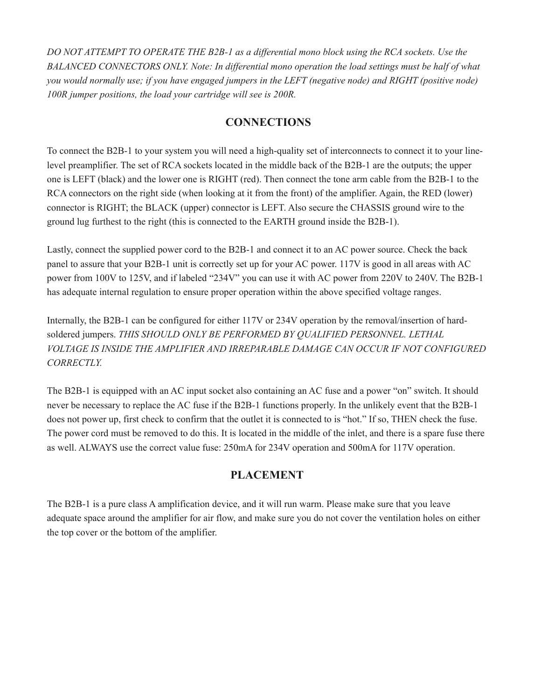*DO NOT ATTEMPT TO OPERATE THE B2B-1 as a differential mono block using the RCA sockets. Use the BALANCED CONNECTORS ONLY. Note: In differential mono operation the load settings must be half of what* you would normally use; if you have engaged jumpers in the LEFT (negative node) and RIGHT (positive node) *100R jumper positions, the load your cartridge will see is 200R.*

## **CONNECTIONS**

To connect the B2B-1 to your system you will need a high-quality set of interconnects to connect it to your linelevel preamplifier. The set of RCA sockets located in the middle back of the B2B-1 are the outputs; the upper one is LEFT (black) and the lower one is RIGHT (red). Then connect the tone arm cable from the B2B-1 to the RCA connectors on the right side (when looking at it from the front) of the amplifier. Again, the RED (lower) connector is RIGHT; the BLACK (upper) connector is LEFT. Also secure the CHASSIS ground wire to the ground lug furthest to the right (this is connected to the EARTH ground inside the B2B-1).

Lastly, connect the supplied power cord to the B2B-1 and connect it to an AC power source. Check the back panel to assure that your B2B-1 unit is correctly set up for your AC power. 117V is good in all areas with AC power from 100V to 125V, and if labeled "234V" you can use it with AC power from 220V to 240V. The B2B-1 has adequate internal regulation to ensure proper operation within the above specified voltage ranges.

Internally, the B2B-1 can be configured for either 117V or 234V operation by the removal/insertion of hardsoldered jumpers. *THIS SHOULD ONLY BE PERFORMED BY QUALIFIED PERSONNEL. LETHAL VOLTAGE IS INSIDE THE AMPLIFIER AND IRREPARABLE DAMAGE CAN OCCUR IF NOT CONFIGURED CORRECTLY.*

The B2B-1 is equipped with an AC input socket also containing an AC fuse and a power "on" switch. It should never be necessary to replace the AC fuse if the B2B-1 functions properly. In the unlikely event that the B2B-1 does not power up, first check to confirm that the outlet it is connected to is "hot." If so, THEN check the fuse. The power cord must be removed to do this. It is located in the middle of the inlet, and there is a spare fuse there as well. ALWAYS use the correct value fuse: 250mA for 234V operation and 500mA for 117V operation.

# **PLACEMENT**

The B2B-1 is a pure class A amplification device, and it will run warm. Please make sure that you leave adequate space around the amplifier for air flow, and make sure you do not cover the ventilation holes on either the top cover or the bottom of the amplifier.